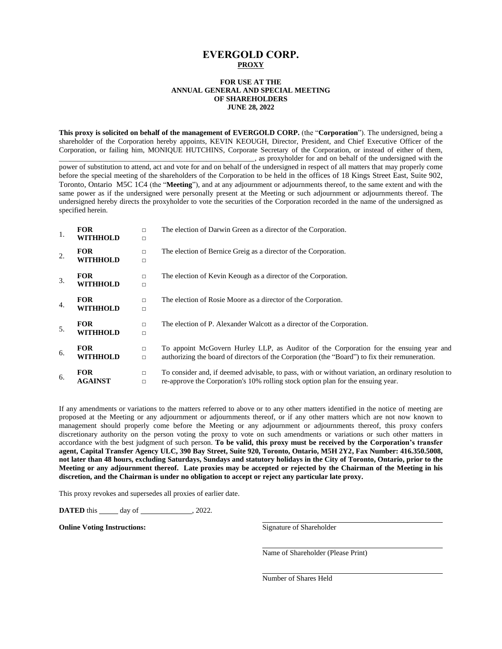# **EVERGOLD CORP. PROXY**

### **FOR USE AT THE ANNUAL GENERAL AND SPECIAL MEETING OF SHAREHOLDERS JUNE 28, 2022**

**This proxy is solicited on behalf of the management of EVERGOLD CORP.** (the "**Corporation**"). The undersigned, being a shareholder of the Corporation hereby appoints, KEVIN KEOUGH, Director, President, and Chief Executive Officer of the Corporation, or failing him, MONIQUE HUTCHINS, Corporate Secretary of the Corporation, or instead of either of them, as proxyholder for and on behalf of the undersigned with the

power of substitution to attend, act and vote for and on behalf of the undersigned in respect of all matters that may properly come before the special meeting of the shareholders of the Corporation to be held in the offices of 18 Kings Street East, Suite 902, Toronto, Ontario M5C 1C4 (the "**Meeting**"), and at any adjournment or adjournments thereof, to the same extent and with the same power as if the undersigned were personally present at the Meeting or such adjournment or adjournments thereof. The undersigned hereby directs the proxyholder to vote the securities of the Corporation recorded in the name of the undersigned as specified herein.

|    | <b>FOR</b><br><b>WITHHOLD</b> | $\Box$<br>$\Box$ | The election of Darwin Green as a director of the Corporation.                                                                                                                           |
|----|-------------------------------|------------------|------------------------------------------------------------------------------------------------------------------------------------------------------------------------------------------|
| 2. | <b>FOR</b><br><b>WITHHOLD</b> | $\Box$<br>$\Box$ | The election of Bernice Greig as a director of the Corporation.                                                                                                                          |
| 3. | <b>FOR</b><br>WITHHOLD        | $\Box$<br>$\Box$ | The election of Kevin Keough as a director of the Corporation.                                                                                                                           |
| 4. | <b>FOR</b><br><b>WITHHOLD</b> | $\Box$<br>$\Box$ | The election of Rosie Moore as a director of the Corporation.                                                                                                                            |
| 5. | <b>FOR</b><br>WITHHOLD        | $\Box$<br>$\Box$ | The election of P. Alexander Walcott as a director of the Corporation.                                                                                                                   |
| 6. | <b>FOR</b><br><b>WITHHOLD</b> | $\Box$<br>$\Box$ | To appoint McGovern Hurley LLP, as Auditor of the Corporation for the ensuing year and<br>authorizing the board of directors of the Corporation (the "Board") to fix their remuneration. |
| 6. | <b>FOR</b><br><b>AGAINST</b>  | $\Box$<br>$\Box$ | To consider and, if deemed advisable, to pass, with or without variation, an ordinary resolution to<br>re-approve the Corporation's 10% rolling stock option plan for the ensuing year.  |

If any amendments or variations to the matters referred to above or to any other matters identified in the notice of meeting are proposed at the Meeting or any adjournment or adjournments thereof, or if any other matters which are not now known to management should properly come before the Meeting or any adjournment or adjournments thereof, this proxy confers discretionary authority on the person voting the proxy to vote on such amendments or variations or such other matters in accordance with the best judgment of such person. **To be valid, this proxy must be received by the Corporation's transfer agent, Capital Transfer Agency ULC, 390 Bay Street, Suite 920, Toronto, Ontario, M5H 2Y2, Fax Number: 416.350.5008, not later than 48 hours, excluding Saturdays, Sundays and statutory holidays in the City of Toronto, Ontario, prior to the Meeting or any adjournment thereof. Late proxies may be accepted or rejected by the Chairman of the Meeting in his discretion, and the Chairman is under no obligation to accept or reject any particular late proxy.**

This proxy revokes and supersedes all proxies of earlier date.

**DATED** this day of , 2022.

**Online Voting Instructions:** Signature of Shareholder

Name of Shareholder (Please Print)

Number of Shares Held